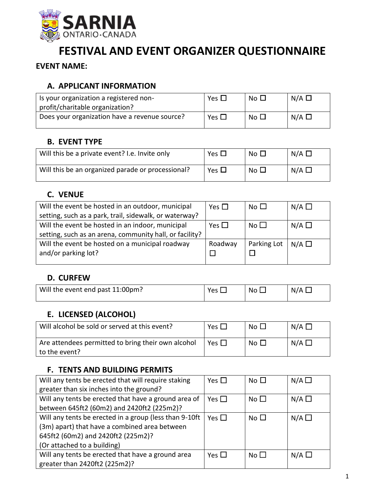

# **FESTIVAL AND EVENT ORGANIZER QUESTIONNAIRE**

**EVENT NAME:**

## **A. APPLICANT INFORMATION**

| Is your organization a registered non-<br>profit/charitable organization? | Yes $\Box$ | No $\square$ | $N/A$ $\square$ |
|---------------------------------------------------------------------------|------------|--------------|-----------------|
| Does your organization have a revenue source?                             | Yes $\Box$ | No $\square$ | $N/A$ $\square$ |

### **B. EVENT TYPE**

| Will this be a private event? I.e. Invite only    | Yes $\Box$ | No $\Box$       | $N/A$ $\square$ |
|---------------------------------------------------|------------|-----------------|-----------------|
| Will this be an organized parade or processional? | Yes $\Box$ | No <sub>1</sub> | $N/A$ $\square$ |

# **C. VENUE**

| Will the event be hosted in an outdoor, municipal       | Yes $\Box$ | No $\Box$   | $N/A$ $\square$ |
|---------------------------------------------------------|------------|-------------|-----------------|
| setting, such as a park, trail, sidewalk, or waterway?  |            |             |                 |
| Will the event be hosted in an indoor, municipal        | Yes $\Box$ | No $\Box$   | N/A $\Box$      |
| setting, such as an arena, community hall, or facility? |            |             |                 |
| Will the event be hosted on a municipal roadway         | Roadway    | Parking Lot | $N/A$ $\square$ |
| and/or parking lot?                                     |            |             |                 |
|                                                         |            |             |                 |

# **D. CURFEW**

| Will the event end past 11:00pm? | N۵ | N/A |
|----------------------------------|----|-----|
|                                  |    |     |

#### **E. LICENSED (ALCOHOL)**

| Will alcohol be sold or served at this event?                       | Yes $\Box$ | No $\sqcup$ | $N/A$ $\square$ |
|---------------------------------------------------------------------|------------|-------------|-----------------|
| Are attendees permitted to bring their own alcohol<br>to the event? | Yes $\Box$ | No $\Box$   | $N/A$ $\square$ |

#### **F. TENTS AND BUILDING PERMITS**

| Will any tents be erected that will require staking    | Yes $\Box$ | No $\square$ | $N/A$ $\square$ |
|--------------------------------------------------------|------------|--------------|-----------------|
| greater than six inches into the ground?               |            |              |                 |
| Will any tents be erected that have a ground area of   | Yes $\Box$ | No $\square$ | $N/A$ $\square$ |
| between 645ft2 (60m2) and 2420ft2 (225m2)?             |            |              |                 |
| Will any tents be erected in a group (less than 9-10ft | Yes $\Box$ | No $\Box$    | $N/A$ $\Box$    |
| (3m) apart) that have a combined area between          |            |              |                 |
| 645ft2 (60m2) and 2420ft2 (225m2)?                     |            |              |                 |
| (Or attached to a building)                            |            |              |                 |
| Will any tents be erected that have a ground area      | Yes $\Box$ | No $\Box$    | $N/A$ $\square$ |
| greater than 2420ft2 (225m2)?                          |            |              |                 |